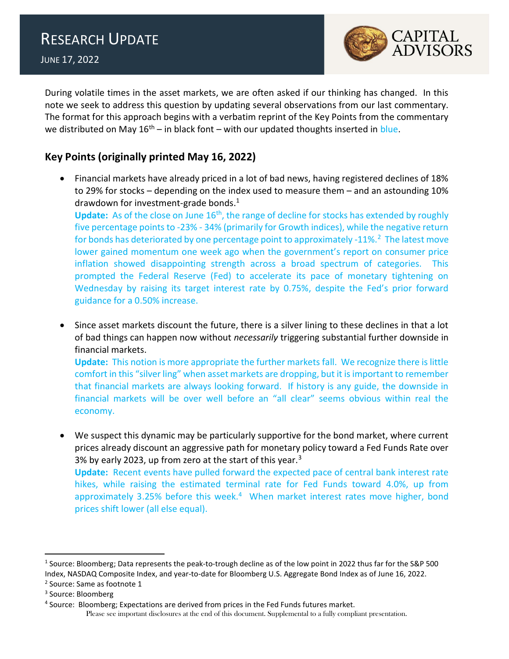

During volatile times in the asset markets, we are often asked if our thinking has changed. In this note we seek to address this question by updating several observations from our last commentary. The format for this approach begins with a verbatim reprint of the Key Points from the commentary we distributed on May  $16<sup>th</sup> -$  in black font – with our updated thoughts inserted in blue.

## Key Points (originally printed May 16, 2022)

 Financial markets have already priced in a lot of bad news, having registered declines of 18% to 29% for stocks – depending on the index used to measure them – and an astounding 10% drawdown for investment-grade bonds.<sup>1</sup>

**Update:** As of the close on June  $16<sup>th</sup>$ , the range of decline for stocks has extended by roughly five percentage points to -23% - 34% (primarily for Growth indices), while the negative return for bonds has deteriorated by one percentage point to approximately -11%.<sup>2</sup> The latest move lower gained momentum one week ago when the government's report on consumer price inflation showed disappointing strength across a broad spectrum of categories. This prompted the Federal Reserve (Fed) to accelerate its pace of monetary tightening on Wednesday by raising its target interest rate by 0.75%, despite the Fed's prior forward guidance for a 0.50% increase.

• Since asset markets discount the future, there is a silver lining to these declines in that a lot of bad things can happen now without *necessarily* triggering substantial further downside in financial markets. Update: This notion is more appropriate the further markets fall. We recognize there is little

comfort in this "silver ling" when asset markets are dropping, but it is important to remember that financial markets are always looking forward. If history is any guide, the downside in financial markets will be over well before an "all clear" seems obvious within real the economy.

 We suspect this dynamic may be particularly supportive for the bond market, where current prices already discount an aggressive path for monetary policy toward a Fed Funds Rate over 3% by early 2023, up from zero at the start of this year. $3$ Update: Recent events have pulled forward the expected pace of central bank interest rate

hikes, while raising the estimated terminal rate for Fed Funds toward 4.0%, up from approximately 3.25% before this week.<sup>4</sup> When market interest rates move higher, bond prices shift lower (all else equal).

<sup>&</sup>lt;sup>1</sup> Source: Bloomberg; Data represents the peak-to-trough decline as of the low point in 2022 thus far for the S&P 500 Index, NASDAQ Composite Index, and year-to-date for Bloomberg U.S. Aggregate Bond Index as of June 16, 2022.

<sup>&</sup>lt;sup>2</sup> Source: Same as footnote 1

<sup>&</sup>lt;sup>3</sup> Source: Bloomberg

Please see important disclosures at the end of this document. Supplemental to a fully compliant presentation. <sup>4</sup> Source: Bloomberg; Expectations are derived from prices in the Fed Funds futures market.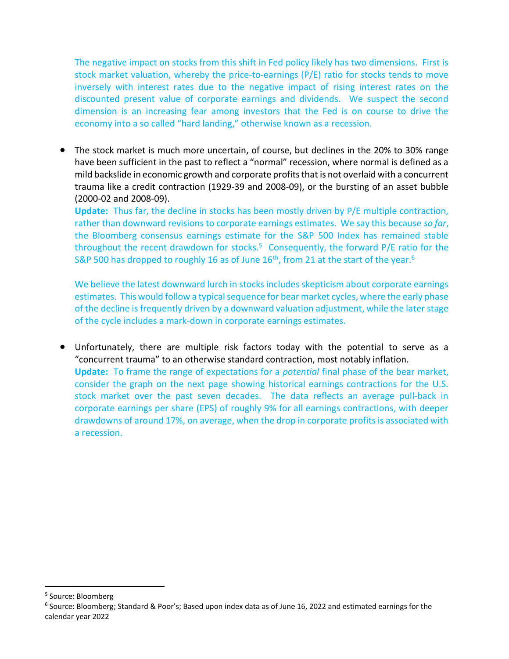The negative impact on stocks from this shift in Fed policy likely has two dimensions. First is stock market valuation, whereby the price-to-earnings (P/E) ratio for stocks tends to move inversely with interest rates due to the negative impact of rising interest rates on the discounted present value of corporate earnings and dividends. We suspect the second dimension is an increasing fear among investors that the Fed is on course to drive the economy into a so called "hard landing," otherwise known as a recession.

 The stock market is much more uncertain, of course, but declines in the 20% to 30% range have been sufficient in the past to reflect a "normal" recession, where normal is defined as a mild backslide in economic growth and corporate profits that is not overlaid with a concurrent trauma like a credit contraction (1929-39 and 2008-09), or the bursting of an asset bubble (2000-02 and 2008-09).

Update: Thus far, the decline in stocks has been mostly driven by P/E multiple contraction, rather than downward revisions to corporate earnings estimates. We say this because so far, the Bloomberg consensus earnings estimate for the S&P 500 Index has remained stable throughout the recent drawdown for stocks.<sup>5</sup> Consequently, the forward  $P/E$  ratio for the S&P 500 has dropped to roughly 16 as of June 16<sup>th</sup>, from 21 at the start of the year.<sup>6</sup>

We believe the latest downward lurch in stocks includes skepticism about corporate earnings estimates. This would follow a typical sequence for bear market cycles, where the early phase of the decline is frequently driven by a downward valuation adjustment, while the later stage of the cycle includes a mark-down in corporate earnings estimates.

 Unfortunately, there are multiple risk factors today with the potential to serve as a "concurrent trauma" to an otherwise standard contraction, most notably inflation. Update: To frame the range of expectations for a *potential* final phase of the bear market, consider the graph on the next page showing historical earnings contractions for the U.S. stock market over the past seven decades. The data reflects an average pull-back in corporate earnings per share (EPS) of roughly 9% for all earnings contractions, with deeper drawdowns of around 17%, on average, when the drop in corporate profits is associated with a recession.

<sup>&</sup>lt;sup>5</sup> Source: Bloomberg

<sup>6</sup> Source: Bloomberg; Standard & Poor's; Based upon index data as of June 16, 2022 and estimated earnings for the calendar year 2022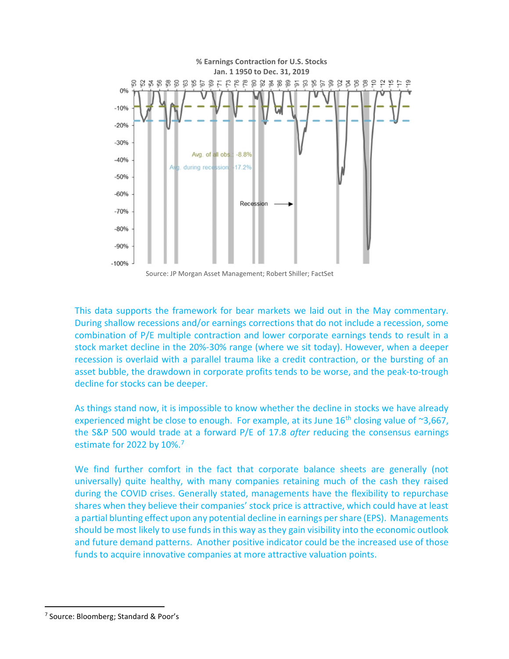

This data supports the framework for bear markets we laid out in the May commentary. During shallow recessions and/or earnings corrections that do not include a recession, some combination of P/E multiple contraction and lower corporate earnings tends to result in a stock market decline in the 20%-30% range (where we sit today). However, when a deeper recession is overlaid with a parallel trauma like a credit contraction, or the bursting of an asset bubble, the drawdown in corporate profits tends to be worse, and the peak-to-trough decline for stocks can be deeper.

As things stand now, it is impossible to know whether the decline in stocks we have already experienced might be close to enough. For example, at its June  $16<sup>th</sup>$  closing value of  $\sim 3,667$ , the S&P 500 would trade at a forward P/E of 17.8 after reducing the consensus earnings estimate for 2022 by 10%.<sup>7</sup>

We find further comfort in the fact that corporate balance sheets are generally (not universally) quite healthy, with many companies retaining much of the cash they raised during the COVID crises. Generally stated, managements have the flexibility to repurchase shares when they believe their companies' stock price is attractive, which could have at least a partial blunting effect upon any potential decline in earnings per share (EPS). Managements should be most likely to use funds in this way as they gain visibility into the economic outlook and future demand patterns. Another positive indicator could be the increased use of those funds to acquire innovative companies at more attractive valuation points.

<sup>&</sup>lt;sup>7</sup> Source: Bloomberg; Standard & Poor's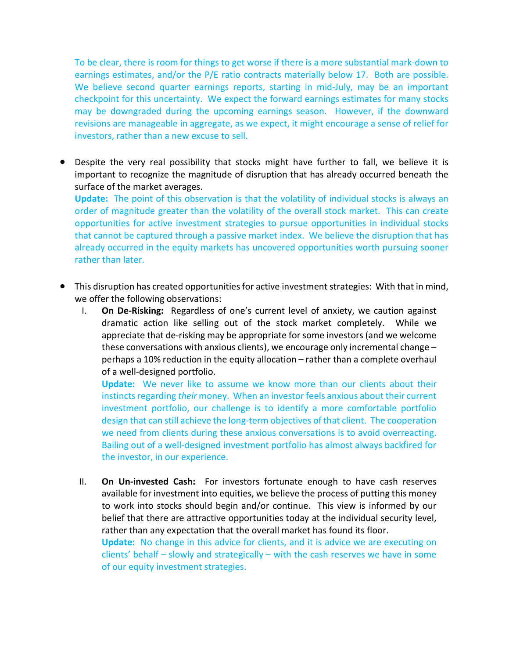To be clear, there is room for things to get worse if there is a more substantial mark-down to earnings estimates, and/or the P/E ratio contracts materially below 17. Both are possible. We believe second quarter earnings reports, starting in mid-July, may be an important checkpoint for this uncertainty. We expect the forward earnings estimates for many stocks may be downgraded during the upcoming earnings season. However, if the downward revisions are manageable in aggregate, as we expect, it might encourage a sense of relief for investors, rather than a new excuse to sell.

 Despite the very real possibility that stocks might have further to fall, we believe it is important to recognize the magnitude of disruption that has already occurred beneath the surface of the market averages.

Update: The point of this observation is that the volatility of individual stocks is always an order of magnitude greater than the volatility of the overall stock market. This can create opportunities for active investment strategies to pursue opportunities in individual stocks that cannot be captured through a passive market index. We believe the disruption that has already occurred in the equity markets has uncovered opportunities worth pursuing sooner rather than later.

- This disruption has created opportunities for active investment strategies: With that in mind, we offer the following observations:
	- I. On De-Risking: Regardless of one's current level of anxiety, we caution against dramatic action like selling out of the stock market completely. While we appreciate that de-risking may be appropriate for some investors (and we welcome these conversations with anxious clients), we encourage only incremental change – perhaps a 10% reduction in the equity allocation – rather than a complete overhaul of a well-designed portfolio.

Update: We never like to assume we know more than our clients about their instincts regarding their money. When an investor feels anxious about their current investment portfolio, our challenge is to identify a more comfortable portfolio design that can still achieve the long-term objectives of that client. The cooperation we need from clients during these anxious conversations is to avoid overreacting. Bailing out of a well-designed investment portfolio has almost always backfired for the investor, in our experience.

II. On Un-invested Cash: For investors fortunate enough to have cash reserves available for investment into equities, we believe the process of putting this money to work into stocks should begin and/or continue. This view is informed by our belief that there are attractive opportunities today at the individual security level, rather than any expectation that the overall market has found its floor.

Update: No change in this advice for clients, and it is advice we are executing on clients' behalf – slowly and strategically – with the cash reserves we have in some of our equity investment strategies.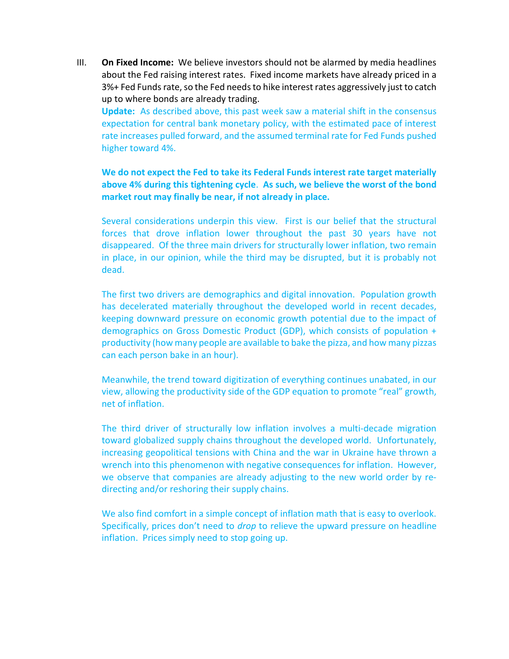III. On Fixed Income: We believe investors should not be alarmed by media headlines about the Fed raising interest rates. Fixed income markets have already priced in a 3%+ Fed Funds rate, so the Fed needs to hike interest rates aggressively just to catch up to where bonds are already trading.

Update: As described above, this past week saw a material shift in the consensus expectation for central bank monetary policy, with the estimated pace of interest rate increases pulled forward, and the assumed terminal rate for Fed Funds pushed higher toward 4%.

We do not expect the Fed to take its Federal Funds interest rate target materially above 4% during this tightening cycle. As such, we believe the worst of the bond market rout may finally be near, if not already in place.

Several considerations underpin this view. First is our belief that the structural forces that drove inflation lower throughout the past 30 years have not disappeared. Of the three main drivers for structurally lower inflation, two remain in place, in our opinion, while the third may be disrupted, but it is probably not dead.

The first two drivers are demographics and digital innovation. Population growth has decelerated materially throughout the developed world in recent decades, keeping downward pressure on economic growth potential due to the impact of demographics on Gross Domestic Product (GDP), which consists of population + productivity (how many people are available to bake the pizza, and how many pizzas can each person bake in an hour).

Meanwhile, the trend toward digitization of everything continues unabated, in our view, allowing the productivity side of the GDP equation to promote "real" growth, net of inflation.

The third driver of structurally low inflation involves a multi-decade migration toward globalized supply chains throughout the developed world. Unfortunately, increasing geopolitical tensions with China and the war in Ukraine have thrown a wrench into this phenomenon with negative consequences for inflation. However, we observe that companies are already adjusting to the new world order by redirecting and/or reshoring their supply chains.

We also find comfort in a simple concept of inflation math that is easy to overlook. Specifically, prices don't need to drop to relieve the upward pressure on headline inflation. Prices simply need to stop going up.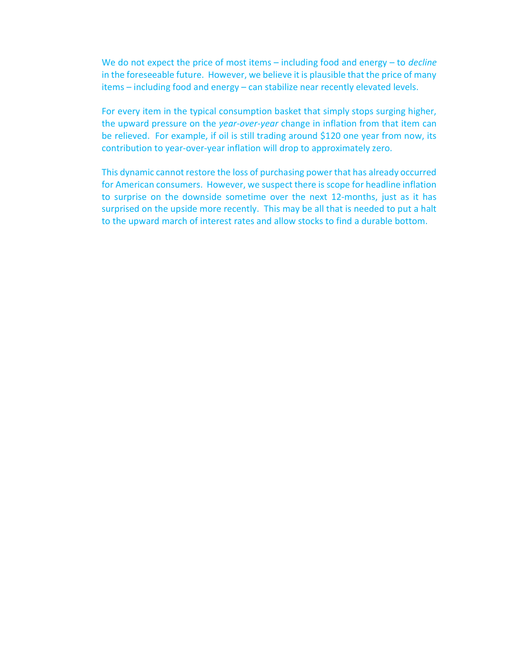We do not expect the price of most items  $-$  including food and energy  $-$  to *decline* in the foreseeable future. However, we believe it is plausible that the price of many items – including food and energy – can stabilize near recently elevated levels.

For every item in the typical consumption basket that simply stops surging higher, the upward pressure on the year-over-year change in inflation from that item can be relieved. For example, if oil is still trading around \$120 one year from now, its contribution to year-over-year inflation will drop to approximately zero.

This dynamic cannot restore the loss of purchasing power that has already occurred for American consumers. However, we suspect there is scope for headline inflation to surprise on the downside sometime over the next 12-months, just as it has surprised on the upside more recently. This may be all that is needed to put a halt to the upward march of interest rates and allow stocks to find a durable bottom.